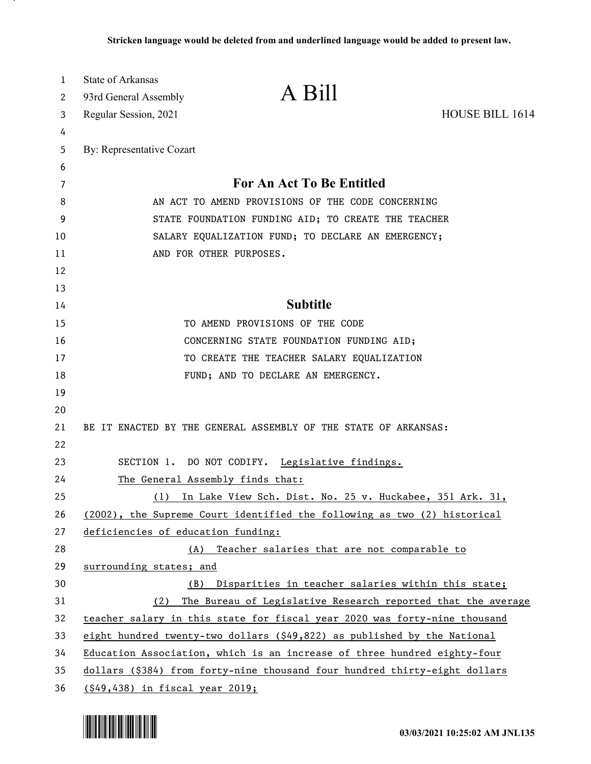| 1  | <b>State of Arkansas</b>           |                                                                             |                        |
|----|------------------------------------|-----------------------------------------------------------------------------|------------------------|
| 2  | 93rd General Assembly              | A Bill                                                                      |                        |
| 3  | Regular Session, 2021              |                                                                             | <b>HOUSE BILL 1614</b> |
| 4  |                                    |                                                                             |                        |
| 5  | By: Representative Cozart          |                                                                             |                        |
| 6  |                                    |                                                                             |                        |
| 7  |                                    | For An Act To Be Entitled                                                   |                        |
| 8  |                                    | AN ACT TO AMEND PROVISIONS OF THE CODE CONCERNING                           |                        |
| 9  |                                    | STATE FOUNDATION FUNDING AID; TO CREATE THE TEACHER                         |                        |
| 10 |                                    | SALARY EQUALIZATION FUND; TO DECLARE AN EMERGENCY;                          |                        |
| 11 |                                    | AND FOR OTHER PURPOSES.                                                     |                        |
| 12 |                                    |                                                                             |                        |
| 13 |                                    |                                                                             |                        |
| 14 |                                    | <b>Subtitle</b>                                                             |                        |
| 15 |                                    | TO AMEND PROVISIONS OF THE CODE                                             |                        |
| 16 |                                    | CONCERNING STATE FOUNDATION FUNDING AID;                                    |                        |
| 17 |                                    | TO CREATE THE TEACHER SALARY EQUALIZATION                                   |                        |
| 18 |                                    | FUND; AND TO DECLARE AN EMERGENCY.                                          |                        |
| 19 |                                    |                                                                             |                        |
| 20 |                                    |                                                                             |                        |
| 21 |                                    | BE IT ENACTED BY THE GENERAL ASSEMBLY OF THE STATE OF ARKANSAS:             |                        |
| 22 |                                    |                                                                             |                        |
| 23 |                                    | SECTION 1. DO NOT CODIFY. Legislative findings.                             |                        |
| 24 |                                    | The General Assembly finds that:                                            |                        |
| 25 | (1)                                | In Lake View Sch. Dist. No. 25 v. Huckabee, 351 Ark. 31,                    |                        |
| 26 |                                    | (2002), the Supreme Court identified the following as two (2) historical    |                        |
| 27 | deficiencies of education funding: |                                                                             |                        |
| 28 | (A)                                | Teacher salaries that are not comparable to                                 |                        |
| 29 | surrounding states; and            |                                                                             |                        |
| 30 | (B)                                | Disparities in teacher salaries within this state;                          |                        |
| 31 | (2)                                | The Bureau of Legislative Research reported that the average                |                        |
| 32 |                                    | teacher salary in this state for fiscal year 2020 was forty-nine thousand   |                        |
| 33 |                                    | eight hundred twenty-two dollars $( $49, 822)$ as published by the National |                        |
| 34 |                                    | Education Association, which is an increase of three hundred eighty-four    |                        |
| 35 |                                    | dollars (\$384) from forty-nine thousand four hundred thirty-eight dollars  |                        |
| 36 | (\$49,438) in fiscal year 2019;    |                                                                             |                        |

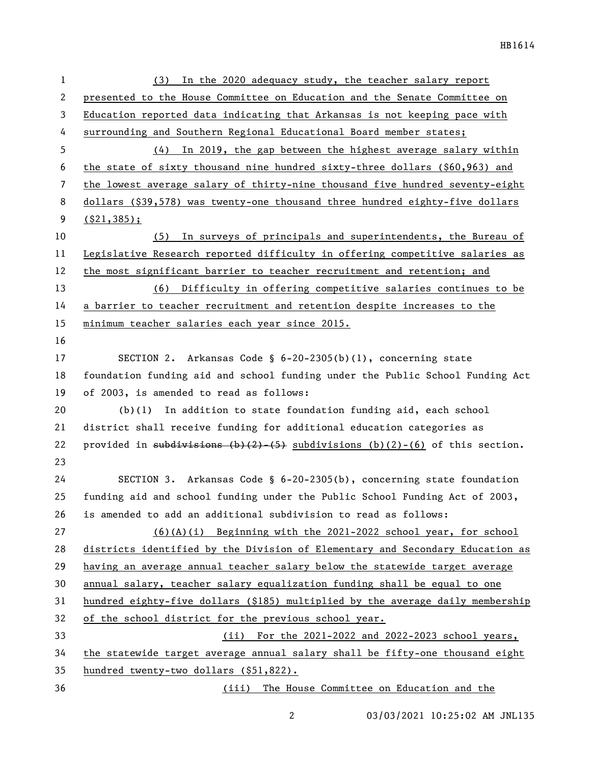| 1  | In the 2020 adequacy study, the teacher salary report<br>(3)                         |
|----|--------------------------------------------------------------------------------------|
| 2  | presented to the House Committee on Education and the Senate Committee on            |
| 3  | Education reported data indicating that Arkansas is not keeping pace with            |
| 4  | surrounding and Southern Regional Educational Board member states;                   |
| 5  | In 2019, the gap between the highest average salary within<br>(4)                    |
| 6  | the state of sixty thousand nine hundred sixty-three dollars (\$60,963) and          |
| 7  | the lowest average salary of thirty-nine thousand five hundred seventy-eight         |
| 8  | dollars (\$39,578) was twenty-one thousand three hundred eighty-five dollars         |
| 9  | $($ \$21,385);                                                                       |
| 10 | In surveys of principals and superintendents, the Bureau of<br>(5)                   |
| 11 | Legislative Research reported difficulty in offering competitive salaries as         |
| 12 | the most significant barrier to teacher recruitment and retention; and               |
| 13 | (6) Difficulty in offering competitive salaries continues to be                      |
| 14 | a barrier to teacher recruitment and retention despite increases to the              |
| 15 | minimum teacher salaries each year since 2015.                                       |
| 16 |                                                                                      |
| 17 | SECTION 2. Arkansas Code § $6-20-2305(b)(1)$ , concerning state                      |
| 18 | foundation funding aid and school funding under the Public School Funding Act        |
| 19 | of 2003, is amended to read as follows:                                              |
| 20 | $(b)(1)$ In addition to state foundation funding aid, each school                    |
| 21 | district shall receive funding for additional education categories as                |
| 22 | provided in subdivisions $(b)(2)$ $(5)$ subdivisions $(b)(2)$ $(6)$ of this section. |
| 23 |                                                                                      |
| 24 | SECTION 3. Arkansas Code § $6-20-2305(b)$ , concerning state foundation              |
| 25 | funding aid and school funding under the Public School Funding Act of 2003,          |
| 26 | is amended to add an additional subdivision to read as follows:                      |
| 27 | $(6)(A)(i)$ Beginning with the 2021-2022 school year, for school                     |
| 28 | districts identified by the Division of Elementary and Secondary Education as        |
| 29 | having an average annual teacher salary below the statewide target average           |
| 30 | annual salary, teacher salary equalization funding shall be equal to one             |
| 31 | hundred eighty-five dollars (\$185) multiplied by the average daily membership       |
| 32 | of the school district for the previous school year.                                 |
| 33 | (ii) For the 2021-2022 and 2022-2023 school years,                                   |
| 34 | the statewide target average annual salary shall be fifty-one thousand eight         |
| 35 | hundred twenty-two dollars (\$51,822).                                               |
| 36 | (iii) The House Committee on Education and the                                       |

03/03/2021 10:25:02 AM JNL135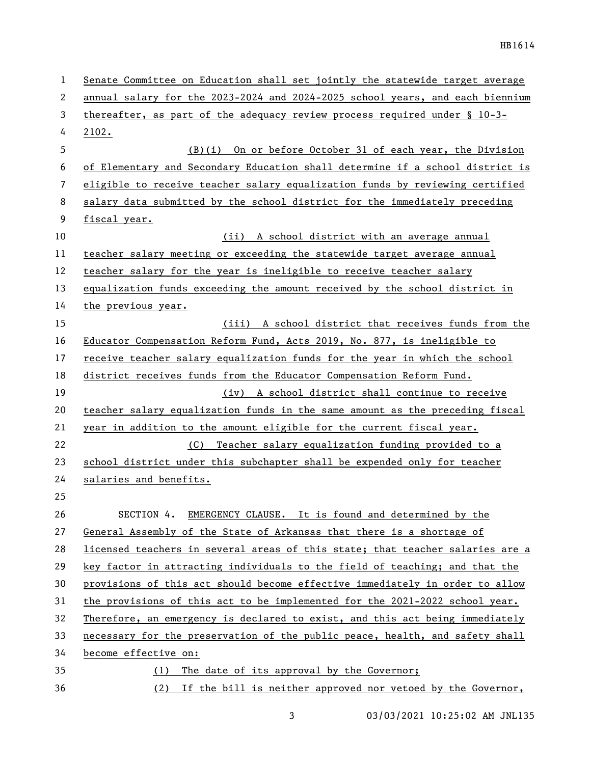| 1  | Senate Committee on Education shall set jointly the statewide target average  |  |
|----|-------------------------------------------------------------------------------|--|
| 2  | annual salary for the 2023-2024 and 2024-2025 school years, and each biennium |  |
| 3  | thereafter, as part of the adequacy review process required under $\S$ 10-3-  |  |
| 4  | 2102.                                                                         |  |
| 5  | (B)(i) On or before October 31 of each year, the Division                     |  |
| 6  | of Elementary and Secondary Education shall determine if a school district is |  |
| 7  | eligible to receive teacher salary equalization funds by reviewing certified  |  |
| 8  | salary data submitted by the school district for the immediately preceding    |  |
| 9  | fiscal year.                                                                  |  |
| 10 | (ii)<br>A school district with an average annual                              |  |
| 11 | teacher salary meeting or exceeding the statewide target average annual       |  |
| 12 | teacher salary for the year is ineligible to receive teacher salary           |  |
| 13 | equalization funds exceeding the amount received by the school district in    |  |
| 14 | the previous year.                                                            |  |
| 15 | (iii) A school district that receives funds from the                          |  |
| 16 | Educator Compensation Reform Fund, Acts 2019, No. 877, is ineligible to       |  |
| 17 | receive teacher salary equalization funds for the year in which the school    |  |
| 18 | district receives funds from the Educator Compensation Reform Fund.           |  |
| 19 | (iv) A school district shall continue to receive                              |  |
| 20 | teacher salary equalization funds in the same amount as the preceding fiscal  |  |
| 21 | year in addition to the amount eligible for the current fiscal year.          |  |
| 22 | (C) Teacher salary equalization funding provided to a                         |  |
| 23 | school district under this subchapter shall be expended only for teacher      |  |
| 24 | salaries and benefits.                                                        |  |
| 25 |                                                                               |  |
| 26 | SECTION 4. EMERGENCY CLAUSE. It is found and determined by the                |  |
| 27 | General Assembly of the State of Arkansas that there is a shortage of         |  |
| 28 | licensed teachers in several areas of this state; that teacher salaries are a |  |
| 29 | key factor in attracting individuals to the field of teaching; and that the   |  |
| 30 | provisions of this act should become effective immediately in order to allow  |  |
| 31 | the provisions of this act to be implemented for the 2021-2022 school year.   |  |
| 32 | Therefore, an emergency is declared to exist, and this act being immediately  |  |
| 33 | necessary for the preservation of the public peace, health, and safety shall  |  |
| 34 | become effective on:                                                          |  |
| 35 | The date of its approval by the Governor;<br>(1)                              |  |
| 36 | (2) If the bill is neither approved nor vetoed by the Governor,               |  |

3 03/03/2021 10:25:02 AM JNL135